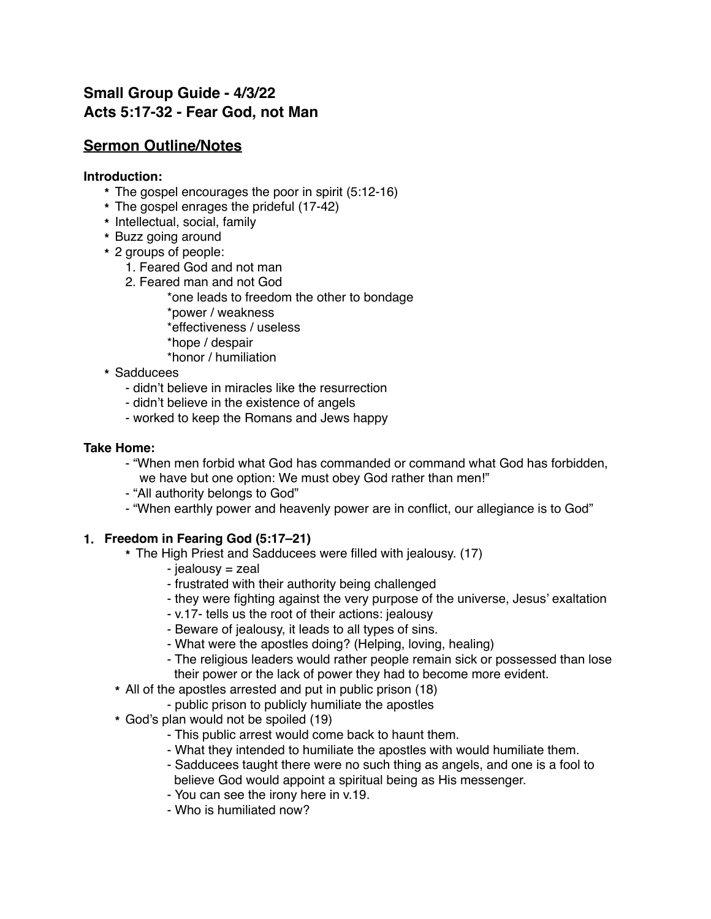# **Small Group Guide - 4/3/22 Acts 5:17-32 - Fear God, not Man**

## **Sermon Outline/Notes**

#### **Introduction:**

- **\*** The gospel encourages the poor in spirit (5:12-16)
- **\*** The gospel enrages the prideful (17-42)
- **\*** Intellectual, social, family
- **\*** Buzz going around
- **\*** 2 groups of people:
	- 1. Feared God and not man
	- 2. Feared man and not God
		- \*one leads to freedom the other to bondage
		- \*power / weakness
		- \*effectiveness / useless
		- \*hope / despair
		- \*honor / humiliation
- **\*** Sadducees
	- didn't believe in miracles like the resurrection
	- didn't believe in the existence of angels
	- worked to keep the Romans and Jews happy

#### **Take Home:**

- "When men forbid what God has commanded or command what God has forbidden, we have but one option: We must obey God rather than men!"
- "All authority belongs to God"
- "When earthly power and heavenly power are in conflict, our allegiance is to God"

#### **1. Freedom in Fearing God (5:17–21)**

- **\*** The High Priest and Sadducees were filled with jealousy. (17)
	- jealousy = zeal
	- frustrated with their authority being challenged
	- they were fighting against the very purpose of the universe, Jesus' exaltation
	- v.17- tells us the root of their actions: jealousy
	- Beware of jealousy, it leads to all types of sins.
	- What were the apostles doing? (Helping, loving, healing)
	- The religious leaders would rather people remain sick or possessed than lose their power or the lack of power they had to become more evident.
- **\*** All of the apostles arrested and put in public prison (18)
	- public prison to publicly humiliate the apostles
- **\*** God's plan would not be spoiled (19)
	- This public arrest would come back to haunt them.
	- What they intended to humiliate the apostles with would humiliate them.
	- Sadducees taught there were no such thing as angels, and one is a fool to believe God would appoint a spiritual being as His messenger.
	- You can see the irony here in v.19.
	- Who is humiliated now?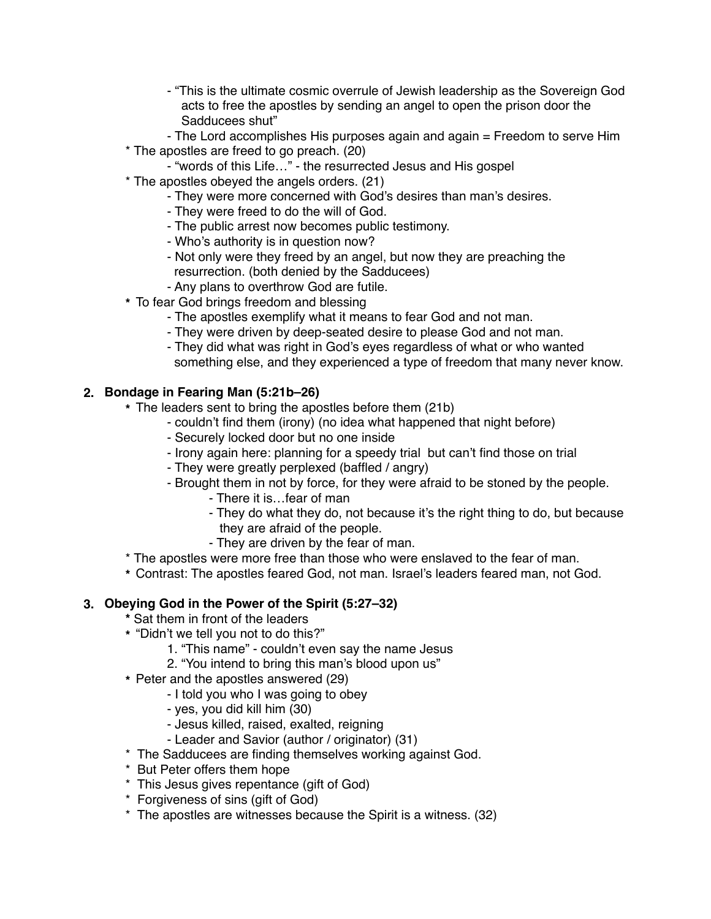- "This is the ultimate cosmic overrule of Jewish leadership as the Sovereign God acts to free the apostles by sending an angel to open the prison door the Sadducees shut"
- The Lord accomplishes His purposes again and again = Freedom to serve Him
- \* The apostles are freed to go preach. (20)
	- "words of this Life…" the resurrected Jesus and His gospel
- \* The apostles obeyed the angels orders. (21)
	- They were more concerned with God's desires than man's desires.
	- They were freed to do the will of God.
	- The public arrest now becomes public testimony.
	- Who's authority is in question now?
	- Not only were they freed by an angel, but now they are preaching the resurrection. (both denied by the Sadducees)
	- Any plans to overthrow God are futile.
- **\*** To fear God brings freedom and blessing
	- The apostles exemplify what it means to fear God and not man.
	- They were driven by deep-seated desire to please God and not man.
	- They did what was right in God's eyes regardless of what or who wanted something else, and they experienced a type of freedom that many never know.

### **2. Bondage in Fearing Man (5:21b–26)**

- **\*** The leaders sent to bring the apostles before them (21b)
	- couldn't find them (irony) (no idea what happened that night before)
	- Securely locked door but no one inside
	- Irony again here: planning for a speedy trial but can't find those on trial
	- They were greatly perplexed (baffled / angry)
	- Brought them in not by force, for they were afraid to be stoned by the people.
		- There it is…fear of man
		- They do what they do, not because it's the right thing to do, but because they are afraid of the people.
		- They are driven by the fear of man.
- \* The apostles were more free than those who were enslaved to the fear of man.
- **\*** Contrast: The apostles feared God, not man. Israel's leaders feared man, not God.

## **3. Obeying God in the Power of the Spirit (5:27–32)**

- **\*** Sat them in front of the leaders
- **\*** "Didn't we tell you not to do this?"
	- 1. "This name" couldn't even say the name Jesus
	- 2. "You intend to bring this man's blood upon us"
- **\*** Peter and the apostles answered (29)
	- I told you who I was going to obey
	- yes, you did kill him (30)
	- Jesus killed, raised, exalted, reigning
	- Leader and Savior (author / originator) (31)
- \* The Sadducees are finding themselves working against God.
- \* But Peter offers them hope
- \* This Jesus gives repentance (gift of God)
- \* Forgiveness of sins (gift of God)
- \* The apostles are witnesses because the Spirit is a witness. (32)